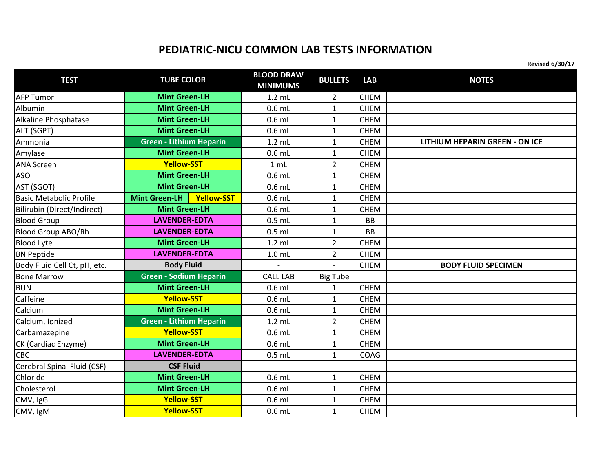## **PEDIATRIC-NICU COMMON LAB TESTS INFORMATION**

| <b>TEST</b>                    | <b>TUBE COLOR</b>                         | <b>BLOOD DRAW</b><br><b>MINIMUMS</b> | <b>BULLETS</b>           | LAB         | <b>NOTES</b>                          |
|--------------------------------|-------------------------------------------|--------------------------------------|--------------------------|-------------|---------------------------------------|
| <b>AFP Tumor</b>               | <b>Mint Green-LH</b>                      | $1.2$ mL                             | $\overline{2}$           | <b>CHEM</b> |                                       |
| Albumin                        | <b>Mint Green-LH</b>                      | $0.6$ mL                             | $\mathbf{1}$             | <b>CHEM</b> |                                       |
| Alkaline Phosphatase           | <b>Mint Green-LH</b>                      | $0.6$ mL                             | $\mathbf{1}$             | <b>CHEM</b> |                                       |
| ALT (SGPT)                     | <b>Mint Green-LH</b>                      | $0.6$ mL                             | $\mathbf{1}$             | <b>CHEM</b> |                                       |
| Ammonia                        | <b>Green - Lithium Heparin</b>            | $1.2$ mL                             | $\mathbf{1}$             | <b>CHEM</b> | <b>LITHIUM HEPARIN GREEN - ON ICE</b> |
| Amylase                        | <b>Mint Green-LH</b>                      | $0.6$ mL                             | $\mathbf{1}$             | <b>CHEM</b> |                                       |
| <b>ANA Screen</b>              | <b>Yellow-SST</b>                         | 1 mL                                 | $\overline{2}$           | <b>CHEM</b> |                                       |
| <b>ASO</b>                     | <b>Mint Green-LH</b>                      | $0.6$ mL                             | $\mathbf{1}$             | <b>CHEM</b> |                                       |
| AST (SGOT)                     | <b>Mint Green-LH</b>                      | $0.6$ mL                             | $\mathbf{1}$             | <b>CHEM</b> |                                       |
| <b>Basic Metabolic Profile</b> | <b>Yellow-SST</b><br><b>Mint Green-LH</b> | $0.6$ mL                             | $\mathbf{1}$             | <b>CHEM</b> |                                       |
| Bilirubin (Direct/Indirect)    | <b>Mint Green-LH</b>                      | $0.6$ mL                             | $\mathbf{1}$             | <b>CHEM</b> |                                       |
| <b>Blood Group</b>             | <b>LAVENDER-EDTA</b>                      | $0.5$ mL                             | $\mathbf{1}$             | <b>BB</b>   |                                       |
| <b>Blood Group ABO/Rh</b>      | <b>LAVENDER-EDTA</b>                      | $0.5$ mL                             | $\mathbf{1}$             | <b>BB</b>   |                                       |
| <b>Blood Lyte</b>              | <b>Mint Green-LH</b>                      | $1.2$ mL                             | $\overline{2}$           | <b>CHEM</b> |                                       |
| <b>BN Peptide</b>              | <b>LAVENDER-EDTA</b>                      | 1.0 <sub>mL</sub>                    | $\overline{2}$           | <b>CHEM</b> |                                       |
| Body Fluid Cell Ct, pH, etc.   | <b>Body Fluid</b>                         | $\overline{\phantom{a}}$             |                          | <b>CHEM</b> | <b>BODY FLUID SPECIMEN</b>            |
| <b>Bone Marrow</b>             | <b>Green - Sodium Heparin</b>             | <b>CALL LAB</b>                      | <b>Big Tube</b>          |             |                                       |
| <b>BUN</b>                     | <b>Mint Green-LH</b>                      | $0.6$ mL                             | 1                        | CHEM        |                                       |
| Caffeine                       | <b>Yellow-SST</b>                         | $0.6$ mL                             | $\mathbf{1}$             | <b>CHEM</b> |                                       |
| Calcium                        | <b>Mint Green-LH</b>                      | $0.6$ mL                             | $\mathbf{1}$             | <b>CHEM</b> |                                       |
| Calcium, Ionized               | <b>Green - Lithium Heparin</b>            | $1.2$ mL                             | $\overline{2}$           | <b>CHEM</b> |                                       |
| Carbamazepine                  | <b>Yellow-SST</b>                         | $0.6$ mL                             | $\mathbf{1}$             | <b>CHEM</b> |                                       |
| CK (Cardiac Enzyme)            | <b>Mint Green-LH</b>                      | $0.6$ mL                             | $\mathbf{1}$             | <b>CHEM</b> |                                       |
| CBC                            | <b>LAVENDER-EDTA</b>                      | $0.5$ mL                             | $\mathbf{1}$             | COAG        |                                       |
| Cerebral Spinal Fluid (CSF)    | <b>CSF Fluid</b>                          |                                      | $\overline{\phantom{a}}$ |             |                                       |
| Chloride                       | <b>Mint Green-LH</b>                      | $0.6$ mL                             | $\mathbf{1}$             | <b>CHEM</b> |                                       |
| Cholesterol                    | <b>Mint Green-LH</b>                      | $0.6$ mL                             | $\mathbf{1}$             | <b>CHEM</b> |                                       |
| CMV, IgG                       | <b>Yellow-SST</b>                         | $0.6$ mL                             | 1                        | <b>CHEM</b> |                                       |
| CMV, IgM                       | <b>Yellow-SST</b>                         | $0.6$ mL                             | $\mathbf{1}$             | <b>CHEM</b> |                                       |

**Revised 6/30/17**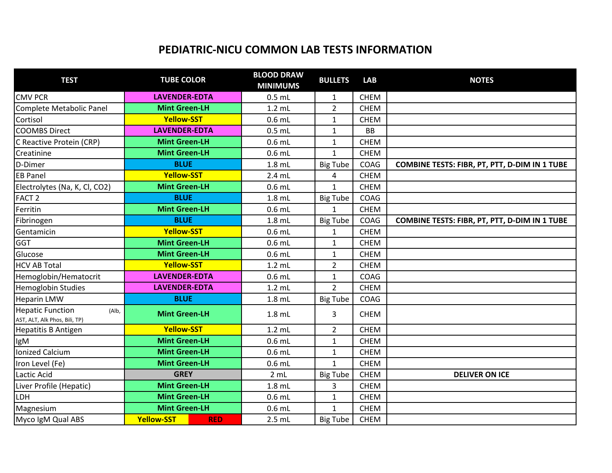## **PEDIATRIC-NICU COMMON LAB TESTS INFORMATION**

| <b>TEST</b>                                                       | <b>TUBE COLOR</b>    |            | <b>BLOOD DRAW</b><br><b>MINIMUMS</b> | <b>BULLETS</b>  | <b>LAB</b>  | <b>NOTES</b>                                  |
|-------------------------------------------------------------------|----------------------|------------|--------------------------------------|-----------------|-------------|-----------------------------------------------|
| <b>CMV PCR</b>                                                    | <b>LAVENDER-EDTA</b> |            | $0.5$ mL                             | $\mathbf{1}$    | <b>CHEM</b> |                                               |
| <b>Complete Metabolic Panel</b>                                   | <b>Mint Green-LH</b> |            | $1.2$ mL                             | $\overline{2}$  | <b>CHEM</b> |                                               |
| Cortisol                                                          | <b>Yellow-SST</b>    |            | $0.6$ mL                             | $\mathbf{1}$    | <b>CHEM</b> |                                               |
| <b>COOMBS Direct</b>                                              | <b>LAVENDER-EDTA</b> |            | $0.5$ mL                             | $\mathbf{1}$    | <b>BB</b>   |                                               |
| C Reactive Protein (CRP)                                          | <b>Mint Green-LH</b> |            | $0.6$ mL                             | 1               | <b>CHEM</b> |                                               |
| Creatinine                                                        | <b>Mint Green-LH</b> |            | $0.6$ mL                             | $\mathbf{1}$    | <b>CHEM</b> |                                               |
| D-Dimer                                                           | <b>BLUE</b>          |            | $1.8$ mL                             | <b>Big Tube</b> | COAG        | COMBINE TESTS: FIBR, PT, PTT, D-DIM IN 1 TUBE |
| <b>EB Panel</b>                                                   | <b>Yellow-SST</b>    |            | $2.4$ mL                             | 4               | <b>CHEM</b> |                                               |
| Electrolytes (Na, K, Cl, CO2)                                     | <b>Mint Green-LH</b> |            | $0.6$ mL                             | $\mathbf{1}$    | <b>CHEM</b> |                                               |
| FACT <sub>2</sub>                                                 | <b>BLUE</b>          |            | $1.8$ mL                             | <b>Big Tube</b> | <b>COAG</b> |                                               |
| Ferritin                                                          | <b>Mint Green-LH</b> |            | $0.6$ mL                             | $\mathbf{1}$    | <b>CHEM</b> |                                               |
| Fibrinogen                                                        | <b>BLUE</b>          |            | $1.8$ mL                             | <b>Big Tube</b> | COAG        | COMBINE TESTS: FIBR, PT, PTT, D-DIM IN 1 TUBE |
| Gentamicin                                                        | <b>Yellow-SST</b>    |            | $0.6$ mL                             | 1               | <b>CHEM</b> |                                               |
| <b>GGT</b>                                                        | <b>Mint Green-LH</b> |            | $0.6$ mL                             | $\mathbf{1}$    | <b>CHEM</b> |                                               |
| Glucose                                                           | <b>Mint Green-LH</b> |            | $0.6$ mL                             | $\mathbf{1}$    | <b>CHEM</b> |                                               |
| <b>HCV AB Total</b>                                               | <b>Yellow-SST</b>    |            | $1.2$ mL                             | $\overline{2}$  | <b>CHEM</b> |                                               |
| Hemoglobin/Hematocrit                                             | <b>LAVENDER-EDTA</b> |            | $0.6$ mL                             | $\mathbf{1}$    | <b>COAG</b> |                                               |
| <b>Hemoglobin Studies</b>                                         | <b>LAVENDER-EDTA</b> |            | $1.2$ mL                             | $\overline{2}$  | <b>CHEM</b> |                                               |
| <b>Heparin LMW</b>                                                | <b>BLUE</b>          |            | $1.8$ mL                             | <b>Big Tube</b> | COAG        |                                               |
| <b>Hepatic Function</b><br>(Alb,<br>AST, ALT, Alk Phos, Bili, TP) | <b>Mint Green-LH</b> |            | $1.8$ mL                             | 3               | <b>CHEM</b> |                                               |
| <b>Hepatitis B Antigen</b>                                        | <b>Yellow-SST</b>    |            | $1.2$ mL                             | $\overline{2}$  | <b>CHEM</b> |                                               |
| IgM                                                               | <b>Mint Green-LH</b> |            | $0.6$ mL                             | $\mathbf{1}$    | <b>CHEM</b> |                                               |
| <b>Ionized Calcium</b>                                            | <b>Mint Green-LH</b> |            | $0.6$ mL                             | $\mathbf{1}$    | <b>CHEM</b> |                                               |
| Iron Level (Fe)                                                   | <b>Mint Green-LH</b> |            | $0.6$ mL                             | $\mathbf{1}$    | <b>CHEM</b> |                                               |
| Lactic Acid                                                       | <b>GREY</b>          |            | 2 mL                                 | <b>Big Tube</b> | <b>CHEM</b> | <b>DELIVER ON ICE</b>                         |
| Liver Profile (Hepatic)                                           | <b>Mint Green-LH</b> |            | $1.8$ mL                             | 3               | <b>CHEM</b> |                                               |
| LDH                                                               | <b>Mint Green-LH</b> |            | $0.6$ mL                             | $\mathbf{1}$    | <b>CHEM</b> |                                               |
| Magnesium                                                         | <b>Mint Green-LH</b> |            | $0.6$ mL                             | 1               | <b>CHEM</b> |                                               |
| Myco IgM Qual ABS                                                 | <b>Yellow-SST</b>    | <b>RED</b> | $2.5$ mL                             | <b>Big Tube</b> | <b>CHEM</b> |                                               |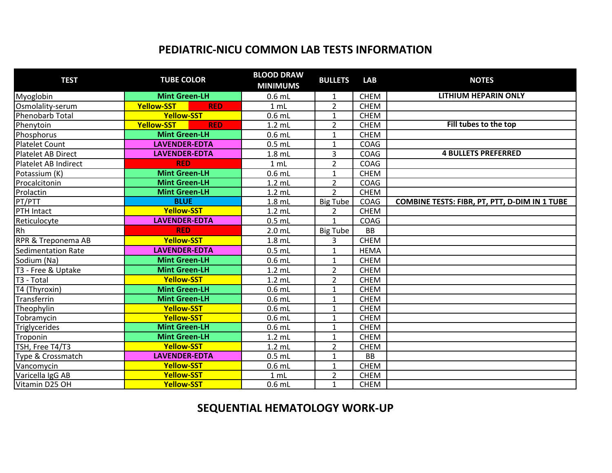# **PEDIATRIC-NICU COMMON LAB TESTS INFORMATION**

| <b>TEST</b>               | <b>TUBE COLOR</b>               | <b>BLOOD DRAW</b><br><b>MINIMUMS</b> | <b>BULLETS</b>  | <b>LAB</b>  | <b>NOTES</b>                                         |
|---------------------------|---------------------------------|--------------------------------------|-----------------|-------------|------------------------------------------------------|
| Myoglobin                 | <b>Mint Green-LH</b>            | $0.6$ mL                             | 1               | <b>CHEM</b> | <b>LITHIUM HEPARIN ONLY</b>                          |
| Osmolality-serum          | <b>Yellow-SST</b><br><b>RED</b> | 1 <sub>mL</sub>                      | $\overline{2}$  | <b>CHEM</b> |                                                      |
| Phenobarb Total           | <b>Yellow-SST</b>               | $0.6$ mL                             | $\mathbf{1}$    | <b>CHEM</b> |                                                      |
| Phenytoin                 | <b>Yellow-SST</b><br><b>RED</b> | $1.2$ mL                             | $\overline{2}$  | <b>CHEM</b> | Fill tubes to the top                                |
| Phosphorus                | <b>Mint Green-LH</b>            | $0.6$ mL                             | $\mathbf{1}$    | <b>CHEM</b> |                                                      |
| <b>Platelet Count</b>     | <b>LAVENDER-EDTA</b>            | $0.5$ mL                             | $\mathbf{1}$    | <b>COAG</b> |                                                      |
| Platelet AB Direct        | <b>LAVENDER-EDTA</b>            | $1.8$ mL                             | 3               | <b>COAG</b> | <b>4 BULLETS PREFERRED</b>                           |
| Platelet AB Indirect      | <b>RED</b>                      | 1 mL                                 | $\overline{2}$  | COAG        |                                                      |
| Potassium (K)             | <b>Mint Green-LH</b>            | $0.6$ mL                             | $\mathbf{1}$    | <b>CHEM</b> |                                                      |
| Procalcitonin             | <b>Mint Green-LH</b>            | $1.2$ mL                             | $\overline{2}$  | COAG        |                                                      |
| Prolactin                 | <b>Mint Green-LH</b>            | $1.2$ mL                             | $\overline{2}$  | <b>CHEM</b> |                                                      |
| PT/PTT                    | <b>BLUE</b>                     | $1.8$ mL                             | <b>Big Tube</b> | <b>COAG</b> | <b>COMBINE TESTS: FIBR, PT, PTT, D-DIM IN 1 TUBE</b> |
| PTH Intact                | <b>Yellow-SST</b>               | $1.2$ mL                             | $\overline{2}$  | <b>CHEM</b> |                                                      |
| Reticulocyte              | <b>LAVENDER-EDTA</b>            | $0.5$ mL                             | 1               | COAG        |                                                      |
| Rh                        | <b>RED</b>                      | $2.0$ mL                             | <b>Big Tube</b> | <b>BB</b>   |                                                      |
| RPR & Treponema AB        | <b>Yellow-SST</b>               | $1.8$ mL                             | 3               | <b>CHEM</b> |                                                      |
| <b>Sedimentation Rate</b> | <b>LAVENDER-EDTA</b>            | $0.5$ mL                             | $\mathbf{1}$    | <b>HEMA</b> |                                                      |
| Sodium (Na)               | <b>Mint Green-LH</b>            | $0.6$ mL                             | $\mathbf{1}$    | <b>CHEM</b> |                                                      |
| T3 - Free & Uptake        | <b>Mint Green-LH</b>            | $1.2$ mL                             | $\overline{2}$  | <b>CHEM</b> |                                                      |
| T <sub>3</sub> - Total    | <b>Yellow-SST</b>               | $1.2$ mL                             | $\overline{2}$  | <b>CHEM</b> |                                                      |
| T4 (Thyroxin)             | <b>Mint Green-LH</b>            | $0.6$ mL                             | $\mathbf{1}$    | <b>CHEM</b> |                                                      |
| Transferrin               | <b>Mint Green-LH</b>            | $0.6$ mL                             | $\mathbf{1}$    | <b>CHEM</b> |                                                      |
| Theophylin                | <b>Yellow-SST</b>               | $0.6$ mL                             | 1               | <b>CHEM</b> |                                                      |
| Tobramycin                | <b>Yellow-SST</b>               | $0.6$ mL                             | $\mathbf{1}$    | <b>CHEM</b> |                                                      |
| Triglycerides             | <b>Mint Green-LH</b>            | $0.6$ mL                             | $\mathbf{1}$    | <b>CHEM</b> |                                                      |
| Troponin                  | <b>Mint Green-LH</b>            | $1.2$ mL                             | $\mathbf{1}$    | <b>CHEM</b> |                                                      |
| TSH, Free T4/T3           | <b>Yellow-SST</b>               | $1.2$ mL                             | $\overline{2}$  | <b>CHEM</b> |                                                      |
| Type & Crossmatch         | <b>LAVENDER-EDTA</b>            | $0.5$ mL                             | $\mathbf{1}$    | <b>BB</b>   |                                                      |
| Vancomycin                | <b>Yellow-SST</b>               | $0.6$ mL                             | $\mathbf{1}$    | <b>CHEM</b> |                                                      |
| Varicella IgG AB          | <b>Yellow-SST</b>               | 1 mL                                 | $\overline{2}$  | <b>CHEM</b> |                                                      |
| Vitamin D25 OH            | <b>Yellow-SST</b>               | $0.6$ mL                             | 1               | <b>CHEM</b> |                                                      |

# **SEQUENTIAL HEMATOLOGY WORK-UP**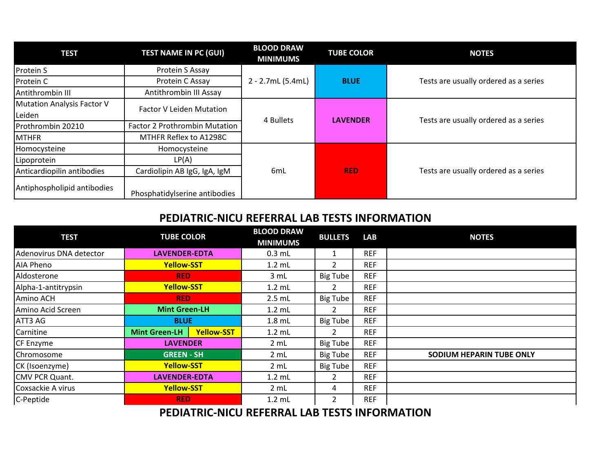| <b>TEST</b>                 | <b>TEST NAME IN PC (GUI)</b>         | <b>BLOOD DRAW</b><br><b>TUBE COLOR</b><br><b>MINIMUMS</b> |                 | <b>NOTES</b>                          |  |
|-----------------------------|--------------------------------------|-----------------------------------------------------------|-----------------|---------------------------------------|--|
| Protein S                   | Protein S Assay                      |                                                           |                 | Tests are usually ordered as a series |  |
| Protein C                   | Protein C Assay                      | 2 - 2.7mL (5.4mL)                                         | <b>BLUE</b>     |                                       |  |
| Antithrombin III            | Antithrombin III Assay               |                                                           |                 |                                       |  |
| Mutation Analysis Factor V  | <b>Factor V Leiden Mutation</b>      |                                                           |                 | Tests are usually ordered as a series |  |
| Leiden                      |                                      | 4 Bullets                                                 | <b>LAVENDER</b> |                                       |  |
| Prothrombin 20210           | <b>Factor 2 Prothrombin Mutation</b> |                                                           |                 |                                       |  |
| MTHFR                       | MTHFR Reflex to A1298C               |                                                           |                 |                                       |  |
| Homocysteine                | Homocysteine                         |                                                           |                 |                                       |  |
| Lipoprotein                 | LP(A)                                | 6mL                                                       |                 | Tests are usually ordered as a series |  |
| Anticardiopilin antibodies  | Cardiolipin AB IgG, IgA, IgM         |                                                           | <b>RED</b>      |                                       |  |
| Antiphospholipid antibodies | Phosphatidylserine antibodies        |                                                           |                 |                                       |  |

#### **PEDIATRIC-NICU REFERRAL LAB TESTS INFORMATION**

| <b>TEST</b>             | <b>TUBE COLOR</b>    |                   | <b>BLOOD DRAW</b><br><b>MINIMUMS</b> | <b>BULLETS</b>  | <b>LAB</b> | <b>NOTES</b>             |
|-------------------------|----------------------|-------------------|--------------------------------------|-----------------|------------|--------------------------|
| Adenovirus DNA detector | <b>LAVENDER-EDTA</b> |                   | $0.3$ mL                             | 1               | <b>REF</b> |                          |
| AIA Pheno               | <b>Yellow-SST</b>    |                   | $1.2$ mL                             | 2               | <b>REF</b> |                          |
| Aldosterone             | <b>RED</b>           |                   | 3 mL                                 | Big Tube        | <b>REF</b> |                          |
| Alpha-1-antitrypsin     | <b>Yellow-SST</b>    |                   | $1.2$ mL                             |                 | <b>REF</b> |                          |
| Amino ACH               | <b>RED</b>           |                   | $2.5$ mL                             | <b>Big Tube</b> | <b>REF</b> |                          |
| Amino Acid Screen       | <b>Mint Green-LH</b> |                   | $1.2$ mL                             |                 | <b>REF</b> |                          |
| ATT3 AG                 | <b>BLUE</b>          |                   | $1.8$ mL                             | <b>Big Tube</b> | <b>REF</b> |                          |
| Carnitine               | <b>Mint Green-LH</b> | <b>Yellow-SST</b> | $1.2$ mL                             |                 | <b>REF</b> |                          |
| CF Enzyme               | <b>LAVENDER</b>      |                   | 2 mL                                 | <b>Big Tube</b> | <b>REF</b> |                          |
| Chromosome              | <b>GREEN - SH</b>    |                   | 2 mL                                 | <b>Big Tube</b> | <b>REF</b> | SODIUM HEPARIN TUBE ONLY |
| CK (Isoenzyme)          | <b>Yellow-SST</b>    |                   | 2 mL                                 | Big Tube        | <b>REF</b> |                          |
| CMV PCR Quant.          | <b>LAVENDER-EDTA</b> |                   | $1.2$ mL                             |                 | <b>REF</b> |                          |
| Coxsackie A virus       | <b>Yellow-SST</b>    |                   | 2 mL                                 | 4               | <b>REF</b> |                          |
| C-Peptide               | <b>RED</b>           |                   | $1.2$ mL                             | 2               | <b>REF</b> |                          |

**PEDIATRIC-NICU REFERRAL LAB TESTS INFORMATION**